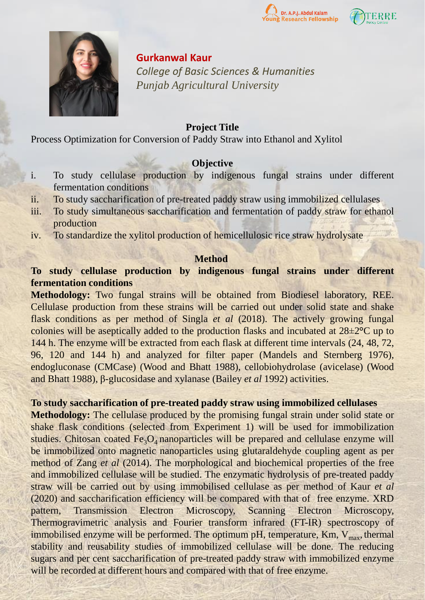





### **Gurkanwal Kaur**

*College of Basic Sciences & Humanities Punjab Agricultural University*

### **Project Title**

Process Optimization for Conversion of Paddy Straw into Ethanol and Xylitol

## **Objective**

- i. To study cellulase production by indigenous fungal strains under different fermentation conditions
- ii. To study saccharification of pre-treated paddy straw using immobilized cellulases
- iii. To study simultaneous saccharification and fermentation of paddy straw for ethanol production
- iv. To standardize the xylitol production of hemicellulosic rice straw hydrolysate

### **Method**

# **To study cellulase production by indigenous fungal strains under different fermentation conditions**

**Methodology:** Two fungal strains will be obtained from Biodiesel laboratory, REE. Cellulase production from these strains will be carried out under solid state and shake flask conditions as per method of Singla *et al* (2018). The actively growing fungal colonies will be aseptically added to the production flasks and incubated at 28±2**°**C up to 144 h. The enzyme will be extracted from each flask at different time intervals (24, 48, 72, 96, 120 and 144 h) and analyzed for filter paper (Mandels and Sternberg 1976), endogluconase (CMCase) (Wood and Bhatt 1988), cellobiohydrolase (avicelase) (Wood and Bhatt 1988), β-glucosidase and xylanase (Bailey *et al* 1992) activities.

## **To study saccharification of pre-treated paddy straw using immobilized cellulases**

**Methodology:** The cellulase produced by the promising fungal strain under solid state or shake flask conditions (selected from Experiment 1) will be used for immobilization studies. Chitosan coated  $Fe<sub>3</sub>O<sub>4</sub>$  nanoparticles will be prepared and cellulase enzyme will be immobilized onto magnetic nanoparticles using glutaraldehyde coupling agent as per method of Zang *et al* (2014). The morphological and biochemical properties of the free and immobilized cellulase will be studied. The enzymatic hydrolysis of pre-treated paddy straw will be carried out by using immobilised cellulase as per method of Kaur *et al* (2020) and saccharification efficiency will be compared with that of free enzyme. XRD pattern, Transmission Electron Microscopy, Scanning Electron Microscopy, Thermogravimetric analysis and Fourier transform infrared (FT-IR) spectroscopy of immobilised enzyme will be performed. The optimum pH, temperature,  $Km$ ,  $V_{max}$ , thermal stability and reusability studies of immobilized cellulase will be done. The reducing sugars and per cent saccharification of pre-treated paddy straw with immobilized enzyme will be recorded at different hours and compared with that of free enzyme.